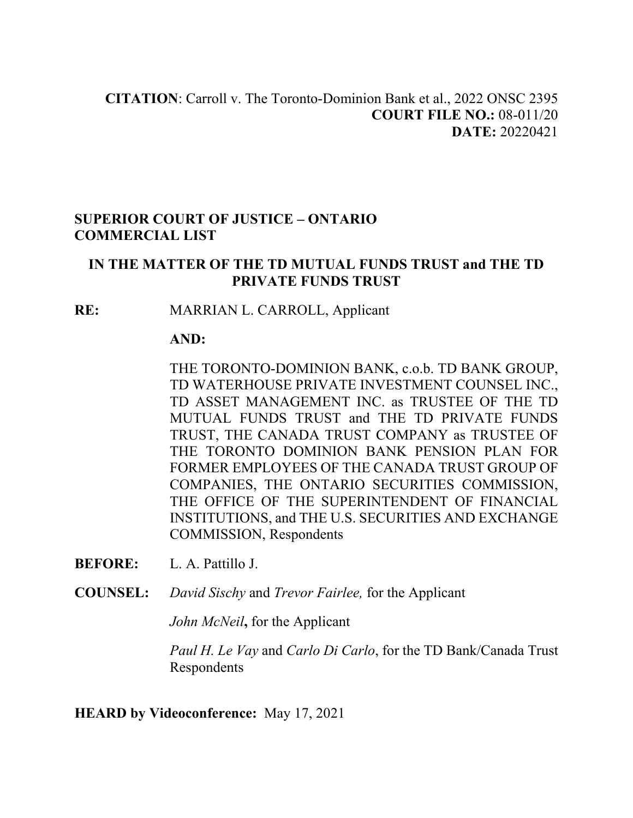#### **SUPERIOR COURT OF JUSTICE – ONTARIO COMMERCIAL LIST**

#### **IN THE MATTER OF THE TD MUTUAL FUNDS TRUST and THE TD PRIVATE FUNDS TRUST**

**RE:** MARRIAN L. CARROLL, Applicant

#### **AND:**

THE TORONTO-DOMINION BANK, c.o.b. TD BANK GROUP, TD WATERHOUSE PRIVATE INVESTMENT COUNSEL INC., TD ASSET MANAGEMENT INC. as TRUSTEE OF THE TD MUTUAL FUNDS TRUST and THE TD PRIVATE FUNDS TRUST, THE CANADA TRUST COMPANY as TRUSTEE OF THE TORONTO DOMINION BANK PENSION PLAN FOR FORMER EMPLOYEES OF THE CANADA TRUST GROUP OF COMPANIES, THE ONTARIO SECURITIES COMMISSION, THE OFFICE OF THE SUPERINTENDENT OF FINANCIAL INSTITUTIONS, and THE U.S. SECURITIES AND EXCHANGE COMMISSION, Respondents

**BEFORE:** L. A. Pattillo J.

**COUNSEL:** *David Sischy* and *Trevor Fairlee,* for the Applicant

*John McNeil***,** for the Applicant

*Paul H. Le Vay* and *Carlo Di Carlo*, for the TD Bank/Canada Trust Respondents

**HEARD by Videoconference:** May 17, 2021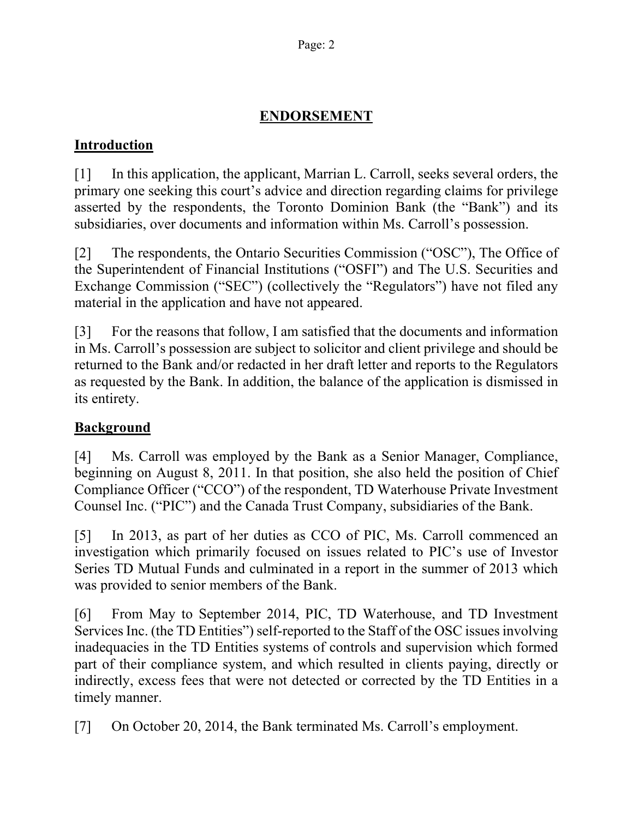# **ENDORSEMENT**

## **Introduction**

[1] In this application, the applicant, Marrian L. Carroll, seeks several orders, the primary one seeking this court's advice and direction regarding claims for privilege asserted by the respondents, the Toronto Dominion Bank (the "Bank") and its subsidiaries, over documents and information within Ms. Carroll's possession.

[2] The respondents, the Ontario Securities Commission ("OSC"), The Office of the Superintendent of Financial Institutions ("OSFI") and The U.S. Securities and Exchange Commission ("SEC") (collectively the "Regulators") have not filed any material in the application and have not appeared.

[3] For the reasons that follow, I am satisfied that the documents and information in Ms. Carroll's possession are subject to solicitor and client privilege and should be returned to the Bank and/or redacted in her draft letter and reports to the Regulators as requested by the Bank. In addition, the balance of the application is dismissed in its entirety.

# **Background**

[4] Ms. Carroll was employed by the Bank as a Senior Manager, Compliance, beginning on August 8, 2011. In that position, she also held the position of Chief Compliance Officer ("CCO") of the respondent, TD Waterhouse Private Investment Counsel Inc. ("PIC") and the Canada Trust Company, subsidiaries of the Bank.

[5] In 2013, as part of her duties as CCO of PIC, Ms. Carroll commenced an investigation which primarily focused on issues related to PIC's use of Investor Series TD Mutual Funds and culminated in a report in the summer of 2013 which was provided to senior members of the Bank.

[6] From May to September 2014, PIC, TD Waterhouse, and TD Investment Services Inc. (the TD Entities") self-reported to the Staff of the OSC issues involving inadequacies in the TD Entities systems of controls and supervision which formed part of their compliance system, and which resulted in clients paying, directly or indirectly, excess fees that were not detected or corrected by the TD Entities in a timely manner.

[7] On October 20, 2014, the Bank terminated Ms. Carroll's employment.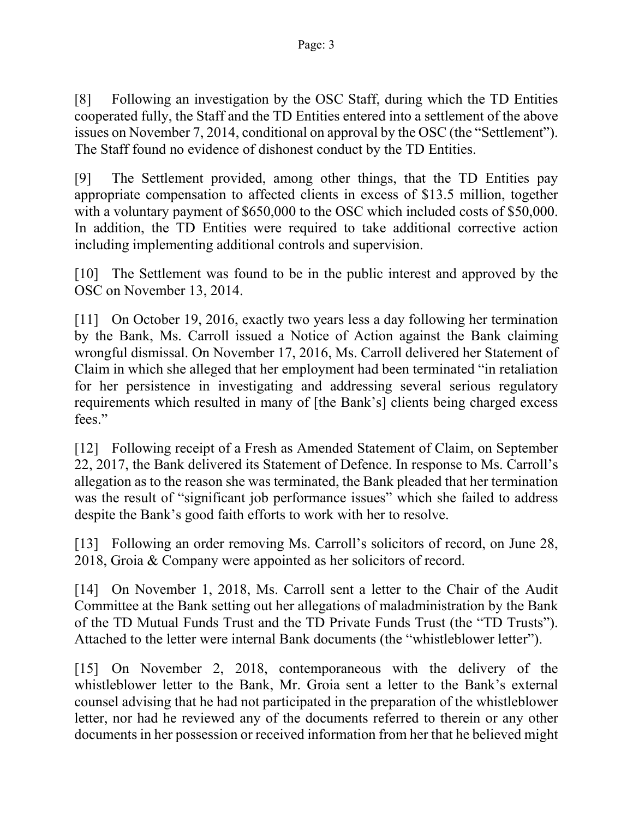[8] Following an investigation by the OSC Staff, during which the TD Entities cooperated fully, the Staff and the TD Entities entered into a settlement of the above issues on November 7, 2014, conditional on approval by the OSC (the "Settlement"). The Staff found no evidence of dishonest conduct by the TD Entities.

[9] The Settlement provided, among other things, that the TD Entities pay appropriate compensation to affected clients in excess of \$13.5 million, together with a voluntary payment of \$650,000 to the OSC which included costs of \$50,000. In addition, the TD Entities were required to take additional corrective action including implementing additional controls and supervision.

[10] The Settlement was found to be in the public interest and approved by the OSC on November 13, 2014.

[11] On October 19, 2016, exactly two years less a day following her termination by the Bank, Ms. Carroll issued a Notice of Action against the Bank claiming wrongful dismissal. On November 17, 2016, Ms. Carroll delivered her Statement of Claim in which she alleged that her employment had been terminated "in retaliation for her persistence in investigating and addressing several serious regulatory requirements which resulted in many of [the Bank's] clients being charged excess fees."

[12] Following receipt of a Fresh as Amended Statement of Claim, on September 22, 2017, the Bank delivered its Statement of Defence. In response to Ms. Carroll's allegation as to the reason she was terminated, the Bank pleaded that her termination was the result of "significant job performance issues" which she failed to address despite the Bank's good faith efforts to work with her to resolve.

[13] Following an order removing Ms. Carroll's solicitors of record, on June 28, 2018, Groia & Company were appointed as her solicitors of record.

[14] On November 1, 2018, Ms. Carroll sent a letter to the Chair of the Audit Committee at the Bank setting out her allegations of maladministration by the Bank of the TD Mutual Funds Trust and the TD Private Funds Trust (the "TD Trusts"). Attached to the letter were internal Bank documents (the "whistleblower letter").

[15] On November 2, 2018, contemporaneous with the delivery of the whistleblower letter to the Bank, Mr. Groia sent a letter to the Bank's external counsel advising that he had not participated in the preparation of the whistleblower letter, nor had he reviewed any of the documents referred to therein or any other documents in her possession or received information from her that he believed might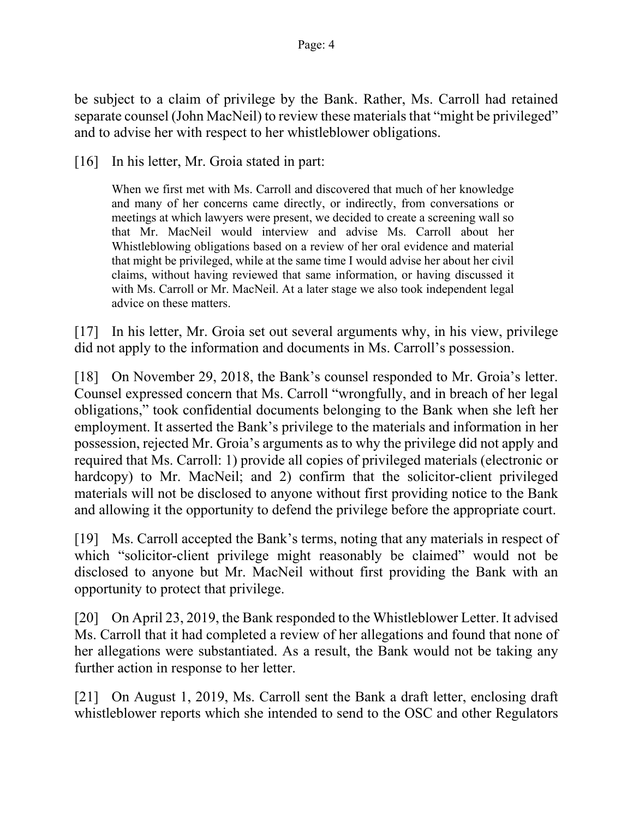be subject to a claim of privilege by the Bank. Rather, Ms. Carroll had retained separate counsel (John MacNeil) to review these materials that "might be privileged" and to advise her with respect to her whistleblower obligations.

[16] In his letter, Mr. Groia stated in part:

When we first met with Ms. Carroll and discovered that much of her knowledge and many of her concerns came directly, or indirectly, from conversations or meetings at which lawyers were present, we decided to create a screening wall so that Mr. MacNeil would interview and advise Ms. Carroll about her Whistleblowing obligations based on a review of her oral evidence and material that might be privileged, while at the same time I would advise her about her civil claims, without having reviewed that same information, or having discussed it with Ms. Carroll or Mr. MacNeil. At a later stage we also took independent legal advice on these matters.

[17] In his letter, Mr. Groia set out several arguments why, in his view, privilege did not apply to the information and documents in Ms. Carroll's possession.

[18] On November 29, 2018, the Bank's counsel responded to Mr. Groia's letter. Counsel expressed concern that Ms. Carroll "wrongfully, and in breach of her legal obligations," took confidential documents belonging to the Bank when she left her employment. It asserted the Bank's privilege to the materials and information in her possession, rejected Mr. Groia's arguments as to why the privilege did not apply and required that Ms. Carroll: 1) provide all copies of privileged materials (electronic or hardcopy) to Mr. MacNeil; and 2) confirm that the solicitor-client privileged materials will not be disclosed to anyone without first providing notice to the Bank and allowing it the opportunity to defend the privilege before the appropriate court.

[19] Ms. Carroll accepted the Bank's terms, noting that any materials in respect of which "solicitor-client privilege might reasonably be claimed" would not be disclosed to anyone but Mr. MacNeil without first providing the Bank with an opportunity to protect that privilege.

[20] On April 23, 2019, the Bank responded to the Whistleblower Letter. It advised Ms. Carroll that it had completed a review of her allegations and found that none of her allegations were substantiated. As a result, the Bank would not be taking any further action in response to her letter.

[21] On August 1, 2019, Ms. Carroll sent the Bank a draft letter, enclosing draft whistleblower reports which she intended to send to the OSC and other Regulators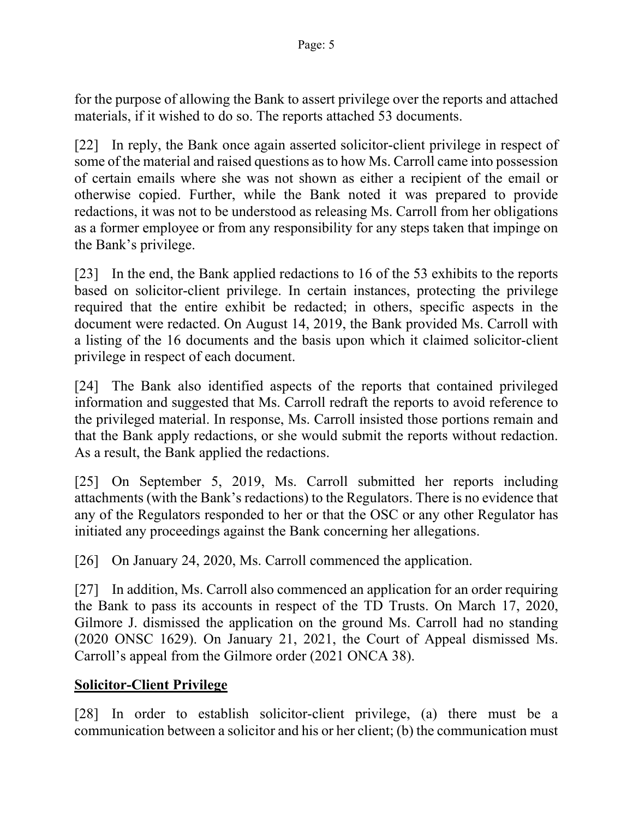for the purpose of allowing the Bank to assert privilege over the reports and attached materials, if it wished to do so. The reports attached 53 documents.

[22] In reply, the Bank once again asserted solicitor-client privilege in respect of some of the material and raised questions as to how Ms. Carroll came into possession of certain emails where she was not shown as either a recipient of the email or otherwise copied. Further, while the Bank noted it was prepared to provide redactions, it was not to be understood as releasing Ms. Carroll from her obligations as a former employee or from any responsibility for any steps taken that impinge on the Bank's privilege.

[23] In the end, the Bank applied redactions to 16 of the 53 exhibits to the reports based on solicitor-client privilege. In certain instances, protecting the privilege required that the entire exhibit be redacted; in others, specific aspects in the document were redacted. On August 14, 2019, the Bank provided Ms. Carroll with a listing of the 16 documents and the basis upon which it claimed solicitor-client privilege in respect of each document.

[24] The Bank also identified aspects of the reports that contained privileged information and suggested that Ms. Carroll redraft the reports to avoid reference to the privileged material. In response, Ms. Carroll insisted those portions remain and that the Bank apply redactions, or she would submit the reports without redaction. As a result, the Bank applied the redactions.

[25] On September 5, 2019, Ms. Carroll submitted her reports including attachments (with the Bank's redactions) to the Regulators. There is no evidence that any of the Regulators responded to her or that the OSC or any other Regulator has initiated any proceedings against the Bank concerning her allegations.

[26] On January 24, 2020, Ms. Carroll commenced the application.

[27] In addition, Ms. Carroll also commenced an application for an order requiring the Bank to pass its accounts in respect of the TD Trusts. On March 17, 2020, Gilmore J. dismissed the application on the ground Ms. Carroll had no standing (2020 ONSC 1629). On January 21, 2021, the Court of Appeal dismissed Ms. Carroll's appeal from the Gilmore order (2021 ONCA 38).

## **Solicitor-Client Privilege**

[28] In order to establish solicitor-client privilege, (a) there must be a communication between a solicitor and his or her client; (b) the communication must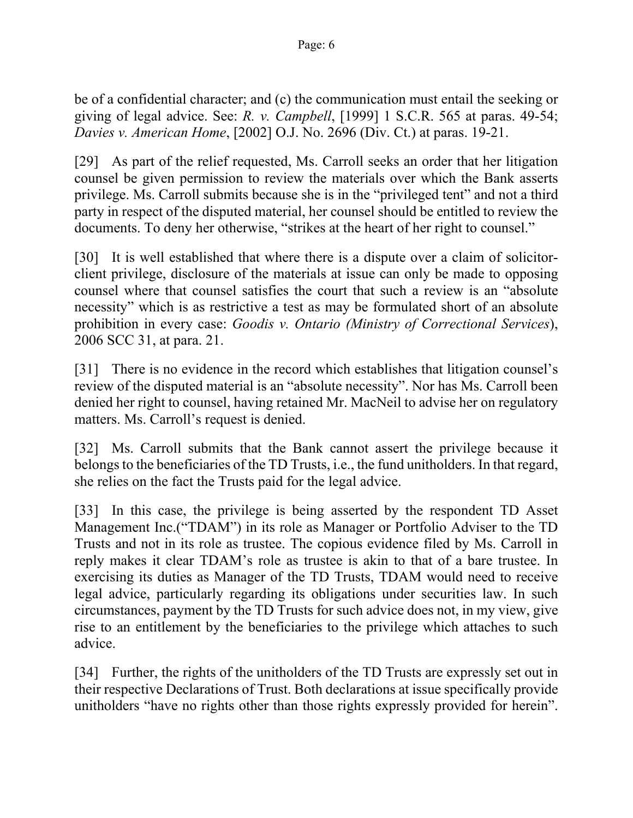be of a confidential character; and (c) the communication must entail the seeking or giving of legal advice. See: *R. v. Campbell*, [1999] 1 S.C.R. 565 at paras. 49-54; *Davies v. American Home*, [2002] O.J. No. 2696 (Div. Ct.) at paras. 19-21.

[29] As part of the relief requested, Ms. Carroll seeks an order that her litigation counsel be given permission to review the materials over which the Bank asserts privilege. Ms. Carroll submits because she is in the "privileged tent" and not a third party in respect of the disputed material, her counsel should be entitled to review the documents. To deny her otherwise, "strikes at the heart of her right to counsel."

[30] It is well established that where there is a dispute over a claim of solicitorclient privilege, disclosure of the materials at issue can only be made to opposing counsel where that counsel satisfies the court that such a review is an "absolute necessity" which is as restrictive a test as may be formulated short of an absolute prohibition in every case: *Goodis v. Ontario (Ministry of Correctional Services*), 2006 SCC 31, at para. 21.

[31] There is no evidence in the record which establishes that litigation counsel's review of the disputed material is an "absolute necessity". Nor has Ms. Carroll been denied her right to counsel, having retained Mr. MacNeil to advise her on regulatory matters. Ms. Carroll's request is denied.

[32] Ms. Carroll submits that the Bank cannot assert the privilege because it belongs to the beneficiaries of the TD Trusts, i.e., the fund unitholders. In that regard, she relies on the fact the Trusts paid for the legal advice.

[33] In this case, the privilege is being asserted by the respondent TD Asset Management Inc.("TDAM") in its role as Manager or Portfolio Adviser to the TD Trusts and not in its role as trustee. The copious evidence filed by Ms. Carroll in reply makes it clear TDAM's role as trustee is akin to that of a bare trustee. In exercising its duties as Manager of the TD Trusts, TDAM would need to receive legal advice, particularly regarding its obligations under securities law. In such circumstances, payment by the TD Trusts for such advice does not, in my view, give rise to an entitlement by the beneficiaries to the privilege which attaches to such advice.

[34] Further, the rights of the unitholders of the TD Trusts are expressly set out in their respective Declarations of Trust. Both declarations at issue specifically provide unitholders "have no rights other than those rights expressly provided for herein".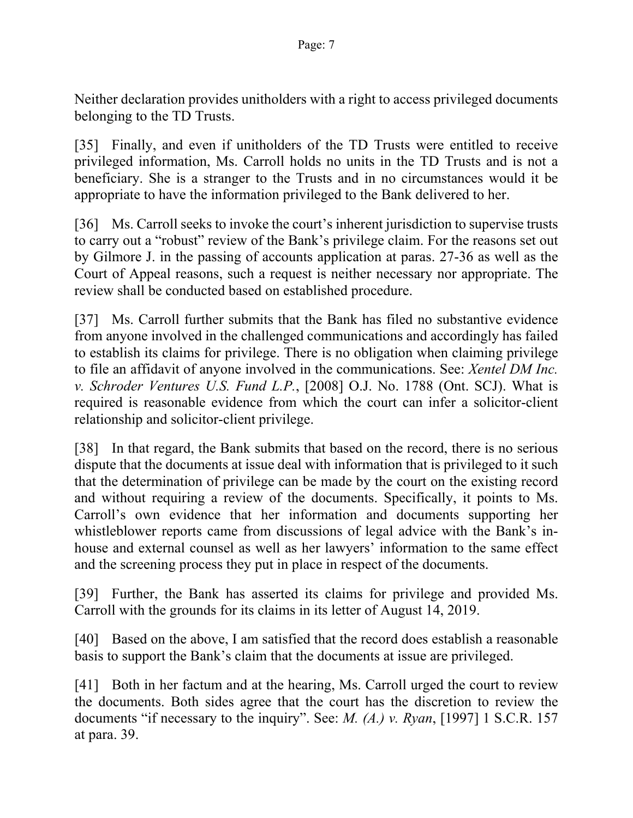Neither declaration provides unitholders with a right to access privileged documents belonging to the TD Trusts.

[35] Finally, and even if unitholders of the TD Trusts were entitled to receive privileged information, Ms. Carroll holds no units in the TD Trusts and is not a beneficiary. She is a stranger to the Trusts and in no circumstances would it be appropriate to have the information privileged to the Bank delivered to her.

[36] Ms. Carroll seeks to invoke the court's inherent jurisdiction to supervise trusts to carry out a "robust" review of the Bank's privilege claim. For the reasons set out by Gilmore J. in the passing of accounts application at paras. 27-36 as well as the Court of Appeal reasons, such a request is neither necessary nor appropriate. The review shall be conducted based on established procedure.

[37] Ms. Carroll further submits that the Bank has filed no substantive evidence from anyone involved in the challenged communications and accordingly has failed to establish its claims for privilege. There is no obligation when claiming privilege to file an affidavit of anyone involved in the communications. See: *Xentel DM Inc. v. Schroder Ventures U.S. Fund L.P.*, [2008] O.J. No. 1788 (Ont. SCJ). What is required is reasonable evidence from which the court can infer a solicitor-client relationship and solicitor-client privilege.

[38] In that regard, the Bank submits that based on the record, there is no serious dispute that the documents at issue deal with information that is privileged to it such that the determination of privilege can be made by the court on the existing record and without requiring a review of the documents. Specifically, it points to Ms. Carroll's own evidence that her information and documents supporting her whistleblower reports came from discussions of legal advice with the Bank's inhouse and external counsel as well as her lawyers' information to the same effect and the screening process they put in place in respect of the documents.

[39] Further, the Bank has asserted its claims for privilege and provided Ms. Carroll with the grounds for its claims in its letter of August 14, 2019.

[40] Based on the above, I am satisfied that the record does establish a reasonable basis to support the Bank's claim that the documents at issue are privileged.

[41] Both in her factum and at the hearing, Ms. Carroll urged the court to review the documents. Both sides agree that the court has the discretion to review the documents "if necessary to the inquiry". See: *M. (A.) v. Ryan*, [1997] 1 S.C.R. 157 at para. 39.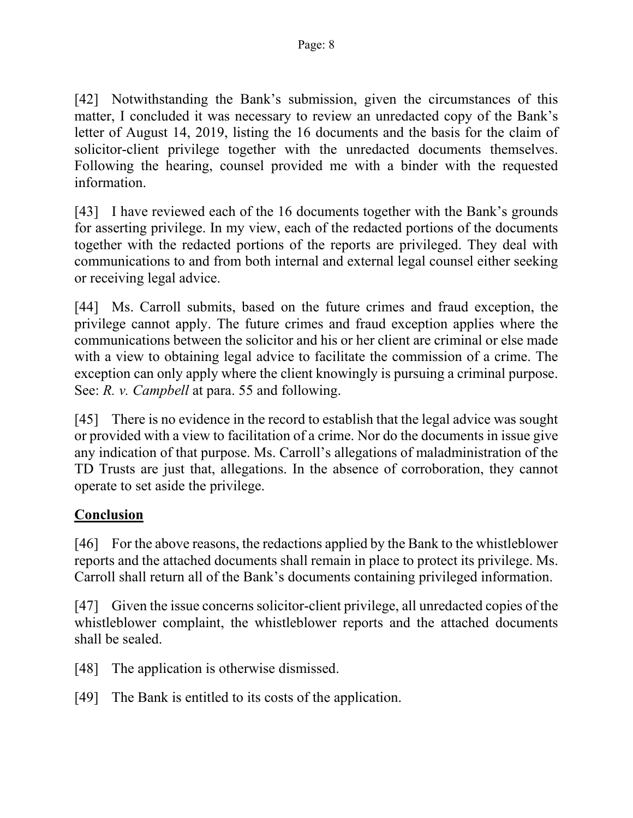[42] Notwithstanding the Bank's submission, given the circumstances of this matter, I concluded it was necessary to review an unredacted copy of the Bank's letter of August 14, 2019, listing the 16 documents and the basis for the claim of solicitor-client privilege together with the unredacted documents themselves. Following the hearing, counsel provided me with a binder with the requested information.

[43] I have reviewed each of the 16 documents together with the Bank's grounds for asserting privilege. In my view, each of the redacted portions of the documents together with the redacted portions of the reports are privileged. They deal with communications to and from both internal and external legal counsel either seeking or receiving legal advice.

[44] Ms. Carroll submits, based on the future crimes and fraud exception, the privilege cannot apply. The future crimes and fraud exception applies where the communications between the solicitor and his or her client are criminal or else made with a view to obtaining legal advice to facilitate the commission of a crime. The exception can only apply where the client knowingly is pursuing a criminal purpose. See: *R. v. Campbell* at para. 55 and following.

[45] There is no evidence in the record to establish that the legal advice was sought or provided with a view to facilitation of a crime. Nor do the documents in issue give any indication of that purpose. Ms. Carroll's allegations of maladministration of the TD Trusts are just that, allegations. In the absence of corroboration, they cannot operate to set aside the privilege.

## **Conclusion**

[46] For the above reasons, the redactions applied by the Bank to the whistleblower reports and the attached documents shall remain in place to protect its privilege. Ms. Carroll shall return all of the Bank's documents containing privileged information.

[47] Given the issue concerns solicitor-client privilege, all unredacted copies of the whistleblower complaint, the whistleblower reports and the attached documents shall be sealed.

- [48] The application is otherwise dismissed.
- [49] The Bank is entitled to its costs of the application.